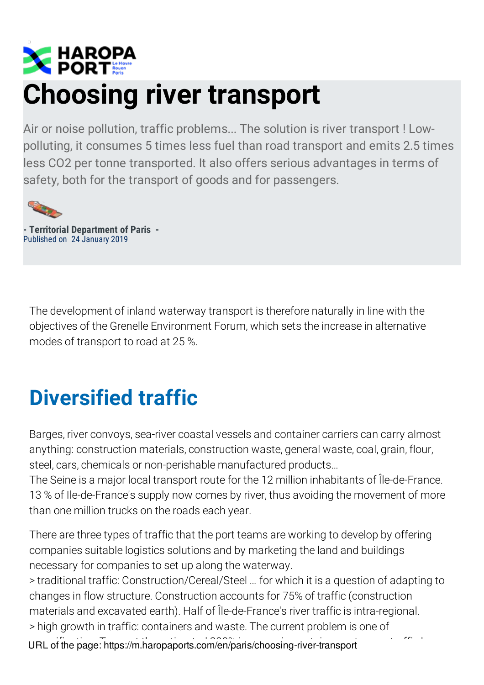## **EXPLANATION Choosing river transport**

Air or noise pollution, traffic problems... The solution is river transport ! Lowpolluting, it consumes 5 times less fuel than road transport and emits 2.5 times less CO2 per tonne transported. It also offers serious advantages in terms of safety, both for the transport of goods and for passengers.



**- Territorial Department of Paris -** Published on 24 January 2019

The development of inland waterway transport is therefore naturally in line with the objectives of the Grenelle Environment Forum, which sets the increase in alternative modes of transport to road at 25 %.

## **Diversified traffic**

Barges, river convoys, sea-river coastal vessels and container carriers can carry almost anything: construction materials, construction waste, general waste, coal, grain, flour, steel, cars, chemicals or non-perishable manufactured products…

The Seine is a major local transport route for the 12 million inhabitants of Île-de-France. 13 % of Ile-de-France's supply now comes by river, thus avoiding the movement of more than one million trucks on the roads each year.

There are three types of traffic that the port teams are working to develop by offering companies suitable logistics solutions and by marketing the land and buildings necessary for companies to set up along the waterway.

> traditional traffic: Construction/Cereal/Steel … for which it is a question of adapting to changes in flow structure. Construction accounts for 75% of traffic (construction materials and excavated earth). Half of Île-de-France's river traffic is intra-regional. > high growth in traffic: containers and waste. The current problem is one of URL of the page: https://m.haropaports.com/en/paris/choosing-river-transport